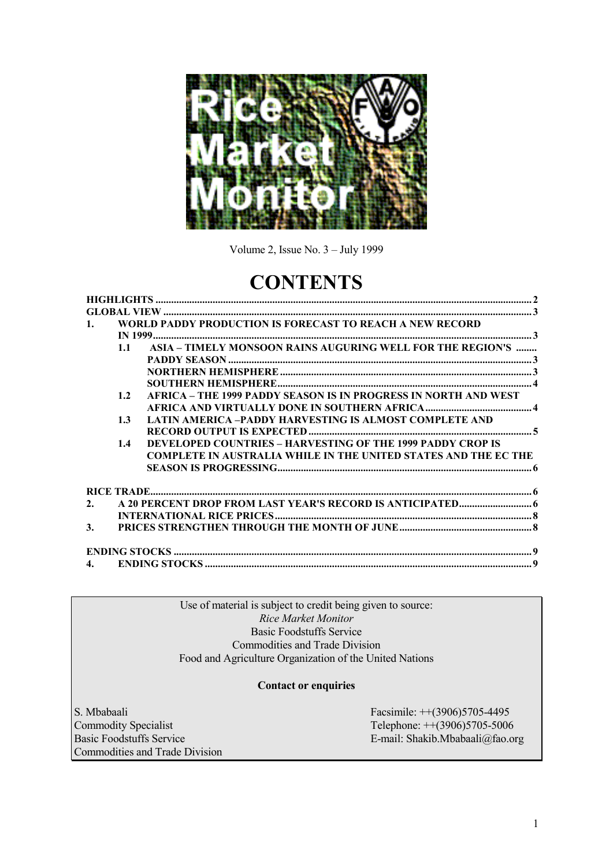

Volume 2, Issue No. 3 – July 1999

# **CONTENTS**

| $\mathbf{1}$ . |               | <b>WORLD PADDY PRODUCTION IS FORECAST TO REACH A NEW RECORD</b>        |  |
|----------------|---------------|------------------------------------------------------------------------|--|
|                |               |                                                                        |  |
|                | 1.1           | ASIA - TIMELY MONSOON RAINS AUGURING WELL FOR THE REGION'S             |  |
|                |               |                                                                        |  |
|                |               |                                                                        |  |
|                |               |                                                                        |  |
|                | 1.2           | <b>AFRICA - THE 1999 PADDY SEASON IS IN PROGRESS IN NORTH AND WEST</b> |  |
|                |               |                                                                        |  |
|                | 1.3           | LATIN AMERICA –PADDY HARVESTING IS ALMOST COMPLETE AND                 |  |
|                |               |                                                                        |  |
|                | $1.4^{\circ}$ | <b>DEVELOPED COUNTRIES - HARVESTING OF THE 1999 PADDY CROP IS</b>      |  |
|                |               | <b>COMPLETE IN AUSTRALIA WHILE IN THE UNITED STATES AND THE ECTHE</b>  |  |
|                |               |                                                                        |  |
|                |               |                                                                        |  |
|                |               |                                                                        |  |
| 2.             |               |                                                                        |  |
|                |               |                                                                        |  |
| 3.             |               |                                                                        |  |
|                |               |                                                                        |  |
|                |               |                                                                        |  |
|                |               |                                                                        |  |

Use of material is subject to credit being given to source: *Rice Market Monitor* Basic Foodstuffs Service Commodities and Trade Division Food and Agriculture Organization of the United Nations

#### **Contact or enquiries**

S. Mbabaali Facsimile: ++(3906)5705-4495<br>Commodity Specialist Facsimile: ++(3906)5705-5006 Commodity Specialist<br>
Basic Foodstuffs Service<br>
E-mail: Shakib.Mbabaali@fao.o Commodities and Trade Division

E-mail: Shakib.Mbabaali@fao.org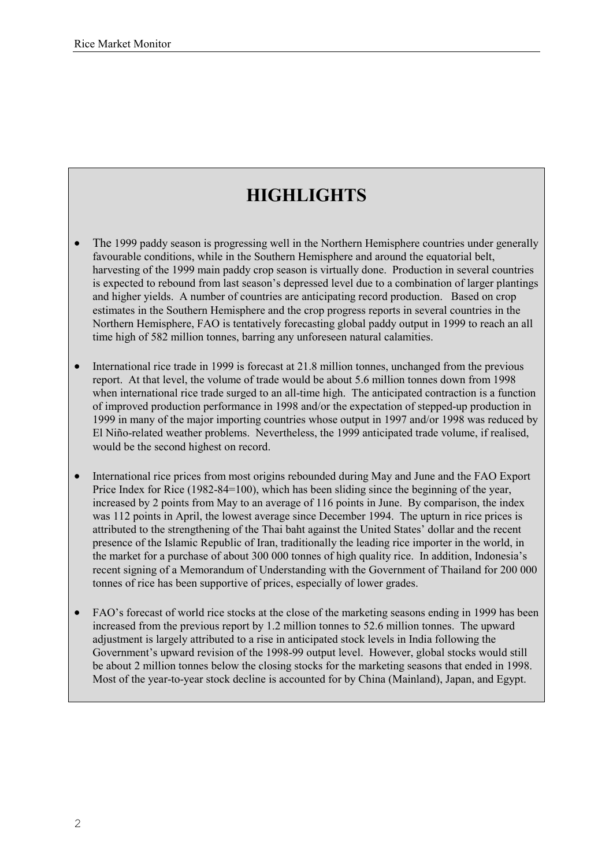# **HIGHLIGHTS**

- The 1999 paddy season is progressing well in the Northern Hemisphere countries under generally favourable conditions, while in the Southern Hemisphere and around the equatorial belt, harvesting of the 1999 main paddy crop season is virtually done. Production in several countries is expected to rebound from last season's depressed level due to a combination of larger plantings and higher yields. A number of countries are anticipating record production. Based on crop estimates in the Southern Hemisphere and the crop progress reports in several countries in the Northern Hemisphere, FAO is tentatively forecasting global paddy output in 1999 to reach an all time high of 582 million tonnes, barring any unforeseen natural calamities.
- International rice trade in 1999 is forecast at 21.8 million tonnes, unchanged from the previous report. At that level, the volume of trade would be about 5.6 million tonnes down from 1998 when international rice trade surged to an all-time high. The anticipated contraction is a function of improved production performance in 1998 and/or the expectation of stepped-up production in 1999 in many of the major importing countries whose output in 1997 and/or 1998 was reduced by El Niño-related weather problems. Nevertheless, the 1999 anticipated trade volume, if realised, would be the second highest on record.
- International rice prices from most origins rebounded during May and June and the FAO Export Price Index for Rice (1982-84=100), which has been sliding since the beginning of the year, increased by 2 points from May to an average of 116 points in June. By comparison, the index was 112 points in April, the lowest average since December 1994. The upturn in rice prices is attributed to the strengthening of the Thai baht against the United States' dollar and the recent presence of the Islamic Republic of Iran, traditionally the leading rice importer in the world, in the market for a purchase of about 300 000 tonnes of high quality rice. In addition, Indonesia's recent signing of a Memorandum of Understanding with the Government of Thailand for 200 000 tonnes of rice has been supportive of prices, especially of lower grades.
- FAO's forecast of world rice stocks at the close of the marketing seasons ending in 1999 has been increased from the previous report by 1.2 million tonnes to 52.6 million tonnes. The upward adjustment is largely attributed to a rise in anticipated stock levels in India following the Government's upward revision of the 1998-99 output level. However, global stocks would still be about 2 million tonnes below the closing stocks for the marketing seasons that ended in 1998. Most of the year-to-year stock decline is accounted for by China (Mainland), Japan, and Egypt.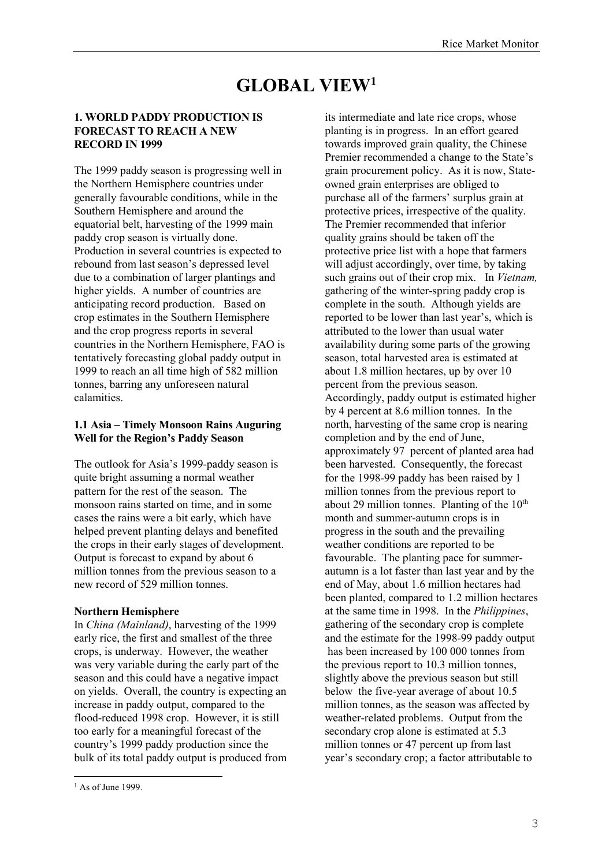# **GLOBAL VIEW[1](#page-2-0)**

#### **1. WORLD PADDY PRODUCTION IS FORECAST TO REACH A NEW RECORD IN 1999**

The 1999 paddy season is progressing well in the Northern Hemisphere countries under generally favourable conditions, while in the Southern Hemisphere and around the equatorial belt, harvesting of the 1999 main paddy crop season is virtually done. Production in several countries is expected to rebound from last season's depressed level due to a combination of larger plantings and higher yields. A number of countries are anticipating record production. Based on crop estimates in the Southern Hemisphere and the crop progress reports in several countries in the Northern Hemisphere, FAO is tentatively forecasting global paddy output in 1999 to reach an all time high of 582 million tonnes, barring any unforeseen natural calamities.

#### **1.1 Asia – Timely Monsoon Rains Auguring Well for the Region's Paddy Season**

The outlook for Asia's 1999-paddy season is quite bright assuming a normal weather pattern for the rest of the season. The monsoon rains started on time, and in some cases the rains were a bit early, which have helped prevent planting delays and benefited the crops in their early stages of development. Output is forecast to expand by about 6 million tonnes from the previous season to a new record of 529 million tonnes.

#### **Northern Hemisphere**

In *China (Mainland)*, harvesting of the 1999 early rice, the first and smallest of the three crops, is underway. However, the weather was very variable during the early part of the season and this could have a negative impact on yields. Overall, the country is expecting an increase in paddy output, compared to the flood-reduced 1998 crop. However, it is still too early for a meaningful forecast of the country's 1999 paddy production since the bulk of its total paddy output is produced from

its intermediate and late rice crops, whose planting is in progress. In an effort geared towards improved grain quality, the Chinese Premier recommended a change to the State's grain procurement policy. As it is now, Stateowned grain enterprises are obliged to purchase all of the farmers' surplus grain at protective prices, irrespective of the quality. The Premier recommended that inferior quality grains should be taken off the protective price list with a hope that farmers will adjust accordingly, over time, by taking such grains out of their crop mix. In *Vietnam,*  gathering of the winter-spring paddy crop is complete in the south. Although yields are reported to be lower than last year's, which is attributed to the lower than usual water availability during some parts of the growing season, total harvested area is estimated at about 1.8 million hectares, up by over 10 percent from the previous season. Accordingly, paddy output is estimated higher by 4 percent at 8.6 million tonnes. In the north, harvesting of the same crop is nearing completion and by the end of June, approximately 97 percent of planted area had been harvested. Consequently, the forecast for the 1998-99 paddy has been raised by 1 million tonnes from the previous report to about 29 million tonnes. Planting of the  $10<sup>th</sup>$ month and summer-autumn crops is in progress in the south and the prevailing weather conditions are reported to be favourable. The planting pace for summerautumn is a lot faster than last year and by the end of May, about 1.6 million hectares had been planted, compared to 1.2 million hectares at the same time in 1998. In the *Philippines*, gathering of the secondary crop is complete and the estimate for the 1998-99 paddy output has been increased by 100 000 tonnes from the previous report to 10.3 million tonnes, slightly above the previous season but still below the five-year average of about 10.5 million tonnes, as the season was affected by weather-related problems. Output from the secondary crop alone is estimated at 5.3 million tonnes or 47 percent up from last year's secondary crop; a factor attributable to

<span id="page-2-0"></span> $\frac{1}{\epsilon}$  $<sup>1</sup>$  As of June 1999.</sup>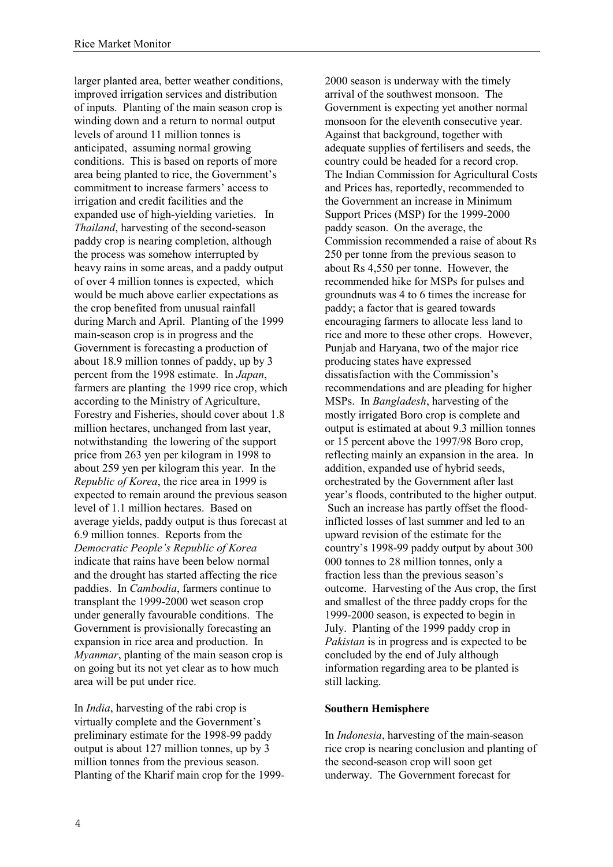larger planted area, better weather conditions, improved irrigation services and distribution of inputs. Planting of the main season crop is winding down and a return to normal output levels of around 11 million tonnes is anticipated, assuming normal growing conditions. This is based on reports of more area being planted to rice, the Government's commitment to increase farmers' access to irrigation and credit facilities and the expanded use of high-yielding varieties. In *Thailand*, harvesting of the second-season paddy crop is nearing completion, although the process was somehow interrupted by heavy rains in some areas, and a paddy output of over 4 million tonnes is expected, which would be much above earlier expectations as the crop benefited from unusual rainfall during March and April. Planting of the 1999 main-season crop is in progress and the Government is forecasting a production of about 18.9 million tonnes of paddy, up by 3 percent from the 1998 estimate. In *Japan*, farmers are planting the 1999 rice crop, which according to the Ministry of Agriculture, Forestry and Fisheries, should cover about 1.8 million hectares, unchanged from last year, notwithstanding the lowering of the support price from 263 yen per kilogram in 1998 to about 259 yen per kilogram this year. In the *Republic of Korea*, the rice area in 1999 is expected to remain around the previous season level of 1.1 million hectares. Based on average yields, paddy output is thus forecast at 6.9 million tonnes. Reports from the *Democratic People's Republic of Korea* indicate that rains have been below normal and the drought has started affecting the rice paddies. In *Cambodia*, farmers continue to transplant the 1999-2000 wet season crop under generally favourable conditions. The Government is provisionally forecasting an expansion in rice area and production. In *Myanmar*, planting of the main season crop is on going but its not yet clear as to how much area will be put under rice.

In *India*, harvesting of the rabi crop is virtually complete and the Government's preliminary estimate for the 1998-99 paddy output is about 127 million tonnes, up by 3 million tonnes from the previous season. Planting of the Kharif main crop for the 19992000 season is underway with the timely arrival of the southwest monsoon. The Government is expecting yet another normal monsoon for the eleventh consecutive year. Against that background, together with adequate supplies of fertilisers and seeds, the country could be headed for a record crop. The Indian Commission for Agricultural Costs and Prices has, reportedly, recommended to the Government an increase in Minimum Support Prices (MSP) for the 1999-2000 paddy season. On the average, the Commission recommended a raise of about Rs 250 per tonne from the previous season to about Rs 4,550 per tonne. However, the recommended hike for MSPs for pulses and groundnuts was 4 to 6 times the increase for paddy; a factor that is geared towards encouraging farmers to allocate less land to rice and more to these other crops. However, Punjab and Haryana, two of the major rice producing states have expressed dissatisfaction with the Commission's recommendations and are pleading for higher MSPs. In *Bangladesh*, harvesting of the mostly irrigated Boro crop is complete and output is estimated at about 9.3 million tonnes or 15 percent above the 1997/98 Boro crop, reflecting mainly an expansion in the area. In addition, expanded use of hybrid seeds, orchestrated by the Government after last year's floods, contributed to the higher output. Such an increase has partly offset the floodinflicted losses of last summer and led to an upward revision of the estimate for the country's 1998-99 paddy output by about 300 000 tonnes to 28 million tonnes, only a fraction less than the previous season's outcome. Harvesting of the Aus crop, the first and smallest of the three paddy crops for the 1999-2000 season, is expected to begin in July. Planting of the 1999 paddy crop in *Pakistan* is in progress and is expected to be concluded by the end of July although information regarding area to be planted is still lacking.

#### **Southern Hemisphere**

In *Indonesia*, harvesting of the main-season rice crop is nearing conclusion and planting of the second-season crop will soon get underway. The Government forecast for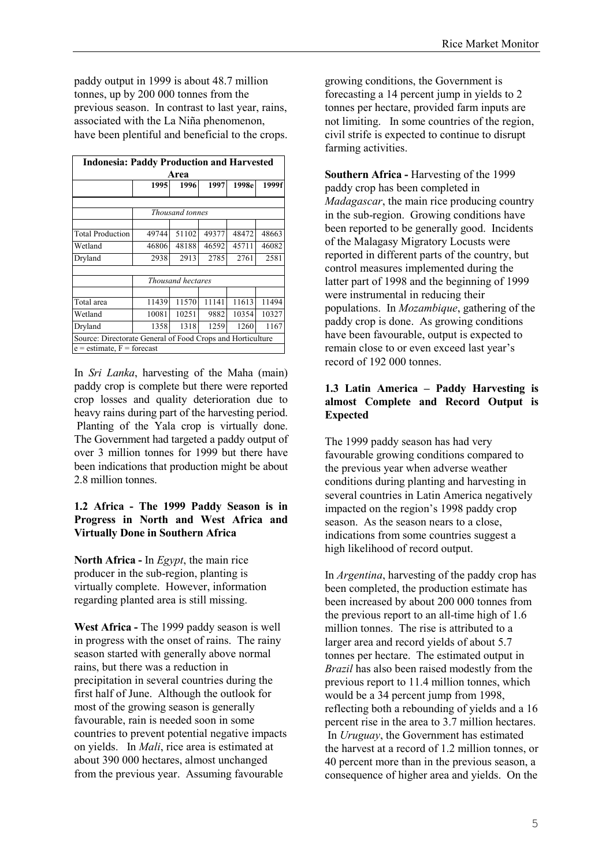paddy output in 1999 is about 48.7 million tonnes, up by 200 000 tonnes from the previous season. In contrast to last year, rains, associated with the La Niña phenomenon, have been plentiful and beneficial to the crops.

| <b>Indonesia: Paddy Production and Harvested</b>           |       |                        |       |       |       |  |  |  |
|------------------------------------------------------------|-------|------------------------|-------|-------|-------|--|--|--|
| Area                                                       |       |                        |       |       |       |  |  |  |
|                                                            | 1995  | 1996                   | 1997  | 1998e | 1999f |  |  |  |
|                                                            |       | <i>Thousand tonnes</i> |       |       |       |  |  |  |
|                                                            |       |                        |       |       |       |  |  |  |
| <b>Total Production</b>                                    | 49744 | 51102                  | 49377 | 48472 | 48663 |  |  |  |
| Wetland                                                    | 46806 | 48188                  | 46592 | 45711 | 46082 |  |  |  |
| Dryland                                                    | 2938  | 2913                   | 2785  | 2761  | 2581  |  |  |  |
| Thousand hectares                                          |       |                        |       |       |       |  |  |  |
|                                                            |       |                        |       |       |       |  |  |  |
| Total area                                                 | 11439 | 11570                  | 11141 | 11613 | 11494 |  |  |  |
| Wetland                                                    | 10081 | 10251                  | 9882  | 10354 | 10327 |  |  |  |
| Dryland                                                    | 1358  | 1318                   | 1259  | 1260  | 1167  |  |  |  |
| Source: Directorate General of Food Crops and Horticulture |       |                        |       |       |       |  |  |  |
| $e =$ estimate, $F =$ forecast                             |       |                        |       |       |       |  |  |  |

In *Sri Lanka*, harvesting of the Maha (main) paddy crop is complete but there were reported crop losses and quality deterioration due to heavy rains during part of the harvesting period. Planting of the Yala crop is virtually done. The Government had targeted a paddy output of over 3 million tonnes for 1999 but there have been indications that production might be about 2.8 million tonnes.

#### **1.2 Africa - The 1999 Paddy Season is in Progress in North and West Africa and Virtually Done in Southern Africa**

**North Africa -** In *Egypt*, the main rice producer in the sub-region, planting is virtually complete. However, information regarding planted area is still missing.

**West Africa -** The 1999 paddy season is well in progress with the onset of rains. The rainy season started with generally above normal rains, but there was a reduction in precipitation in several countries during the first half of June. Although the outlook for most of the growing season is generally favourable, rain is needed soon in some countries to prevent potential negative impacts on yields. In *Mali*, rice area is estimated at about 390 000 hectares, almost unchanged from the previous year. Assuming favourable

growing conditions, the Government is forecasting a 14 percent jump in yields to 2 tonnes per hectare, provided farm inputs are not limiting. In some countries of the region, civil strife is expected to continue to disrupt farming activities.

**Southern Africa -** Harvesting of the 1999 paddy crop has been completed in *Madagascar*, the main rice producing country in the sub-region. Growing conditions have been reported to be generally good. Incidents of the Malagasy Migratory Locusts were reported in different parts of the country, but control measures implemented during the latter part of 1998 and the beginning of 1999 were instrumental in reducing their populations. In *Mozambique*, gathering of the paddy crop is done. As growing conditions have been favourable, output is expected to remain close to or even exceed last year's record of 192 000 tonnes.

### **1.3 Latin America – Paddy Harvesting is almost Complete and Record Output is Expected**

The 1999 paddy season has had very favourable growing conditions compared to the previous year when adverse weather conditions during planting and harvesting in several countries in Latin America negatively impacted on the region's 1998 paddy crop season. As the season nears to a close, indications from some countries suggest a high likelihood of record output.

In *Argentina*, harvesting of the paddy crop has been completed, the production estimate has been increased by about 200 000 tonnes from the previous report to an all-time high of 1.6 million tonnes. The rise is attributed to a larger area and record yields of about 5.7 tonnes per hectare. The estimated output in *Brazil* has also been raised modestly from the previous report to 11.4 million tonnes, which would be a 34 percent jump from 1998, reflecting both a rebounding of yields and a 16 percent rise in the area to 3.7 million hectares. In *Uruguay*, the Government has estimated the harvest at a record of 1.2 million tonnes, or 40 percent more than in the previous season, a consequence of higher area and yields. On the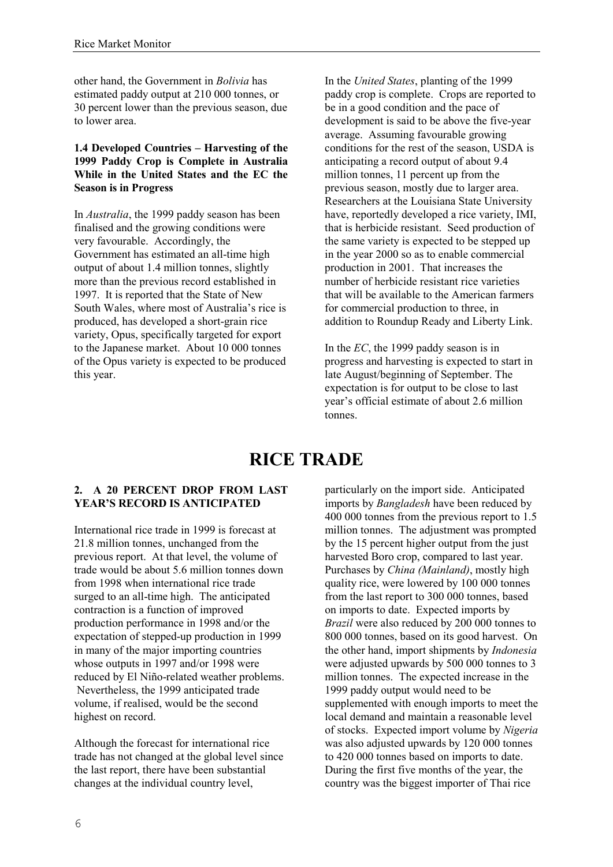other hand, the Government in *Bolivia* has estimated paddy output at 210 000 tonnes, or 30 percent lower than the previous season, due to lower area.

#### **1.4 Developed Countries – Harvesting of the 1999 Paddy Crop is Complete in Australia While in the United States and the EC the Season is in Progress**

In *Australia*, the 1999 paddy season has been finalised and the growing conditions were very favourable. Accordingly, the Government has estimated an all-time high output of about 1.4 million tonnes, slightly more than the previous record established in 1997. It is reported that the State of New South Wales, where most of Australia's rice is produced, has developed a short-grain rice variety, Opus, specifically targeted for export to the Japanese market. About 10 000 tonnes of the Opus variety is expected to be produced this year.

In the *United States*, planting of the 1999 paddy crop is complete. Crops are reported to be in a good condition and the pace of development is said to be above the five-year average. Assuming favourable growing conditions for the rest of the season, USDA is anticipating a record output of about 9.4 million tonnes, 11 percent up from the previous season, mostly due to larger area. Researchers at the Louisiana State University have, reportedly developed a rice variety, IMI, that is herbicide resistant. Seed production of the same variety is expected to be stepped up in the year 2000 so as to enable commercial production in 2001. That increases the number of herbicide resistant rice varieties that will be available to the American farmers for commercial production to three, in addition to Roundup Ready and Liberty Link.

In the *EC*, the 1999 paddy season is in progress and harvesting is expected to start in late August/beginning of September. The expectation is for output to be close to last year's official estimate of about 2.6 million tonnes.

### **RICE TRADE**

#### **2. A 20 PERCENT DROP FROM LAST YEAR'S RECORD IS ANTICIPATED**

International rice trade in 1999 is forecast at 21.8 million tonnes, unchanged from the previous report. At that level, the volume of trade would be about 5.6 million tonnes down from 1998 when international rice trade surged to an all-time high. The anticipated contraction is a function of improved production performance in 1998 and/or the expectation of stepped-up production in 1999 in many of the major importing countries whose outputs in 1997 and/or 1998 were reduced by El Niño-related weather problems. Nevertheless, the 1999 anticipated trade volume, if realised, would be the second highest on record.

Although the forecast for international rice trade has not changed at the global level since the last report, there have been substantial changes at the individual country level,

particularly on the import side. Anticipated imports by *Bangladesh* have been reduced by 400 000 tonnes from the previous report to 1.5 million tonnes. The adjustment was prompted by the 15 percent higher output from the just harvested Boro crop, compared to last year. Purchases by *China (Mainland)*, mostly high quality rice, were lowered by 100 000 tonnes from the last report to 300 000 tonnes, based on imports to date. Expected imports by *Brazil* were also reduced by 200 000 tonnes to 800 000 tonnes, based on its good harvest. On the other hand, import shipments by *Indonesia* were adjusted upwards by 500 000 tonnes to 3 million tonnes. The expected increase in the 1999 paddy output would need to be supplemented with enough imports to meet the local demand and maintain a reasonable level of stocks. Expected import volume by *Nigeria* was also adjusted upwards by 120 000 tonnes to 420 000 tonnes based on imports to date. During the first five months of the year, the country was the biggest importer of Thai rice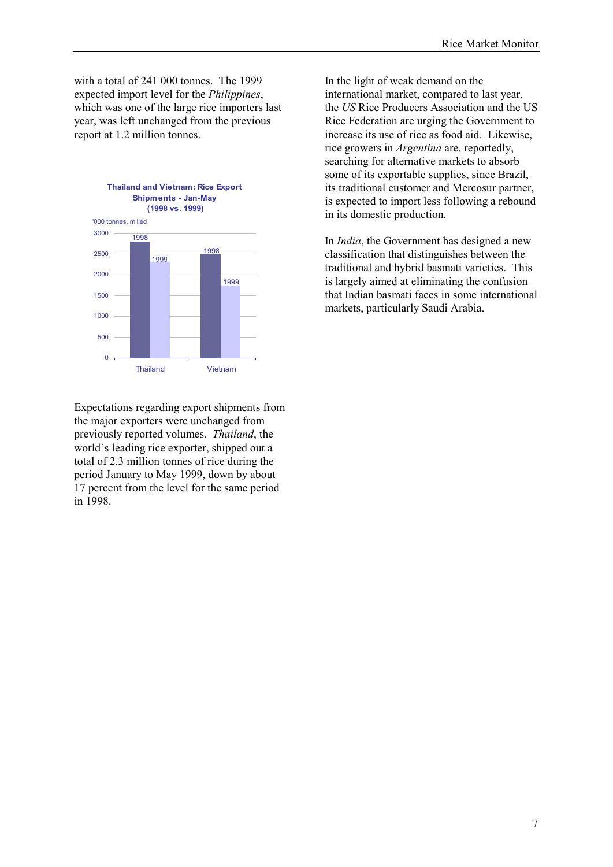with a total of 241 000 tonnes. The 1999 expected import level for the *Philippines*, which was one of the large rice importers last year, was left unchanged from the previous report at 1.2 million tonnes.



Expectations regarding export shipments from the major exporters were unchanged from previously reported volumes. *Thailand*, the world's leading rice exporter, shipped out a total of 2.3 million tonnes of rice during the period January to May 1999, down by about 17 percent from the level for the same period in 1998.

In the light of weak demand on the international market, compared to last year, the *US* Rice Producers Association and the US Rice Federation are urging the Government to increase its use of rice as food aid. Likewise, rice growers in *Argentina* are, reportedly, searching for alternative markets to absorb some of its exportable supplies, since Brazil, its traditional customer and Mercosur partner, is expected to import less following a rebound in its domestic production.

In *India*, the Government has designed a new classification that distinguishes between the traditional and hybrid basmati varieties. This is largely aimed at eliminating the confusion that Indian basmati faces in some international markets, particularly Saudi Arabia.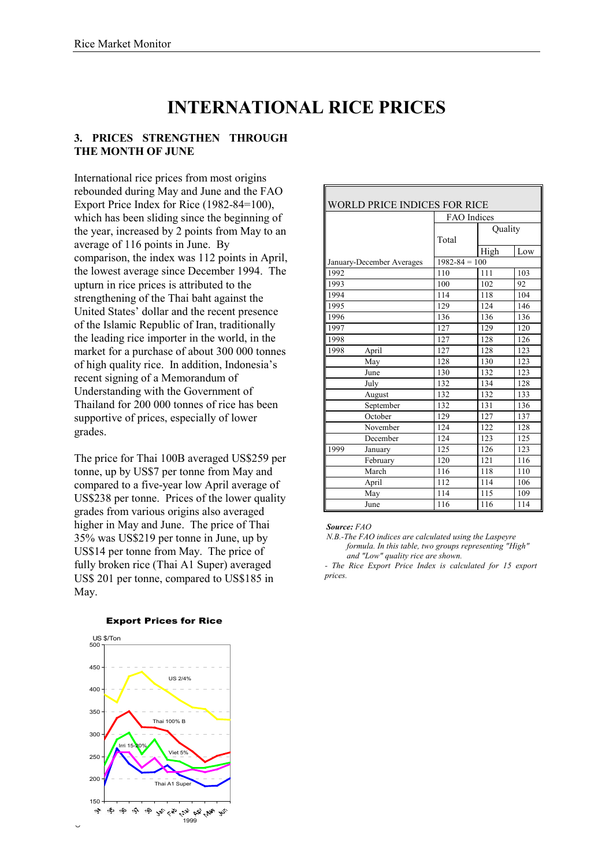## **INTERNATIONAL RICE PRICES**

### **3. PRICES STRENGTHEN THROUGH THE MONTH OF JUNE**

International rice prices from most origins rebounded during May and June and the FAO Export Price Index for Rice (1982-84=100), which has been sliding since the beginning of the year, increased by 2 points from May to an average of 116 points in June. By comparison, the index was 112 points in April, the lowest average since December 1994. The upturn in rice prices is attributed to the strengthening of the Thai baht against the United States' dollar and the recent presence of the Islamic Republic of Iran, traditionally the leading rice importer in the world, in the market for a purchase of about 300 000 tonnes of high quality rice. In addition, Indonesia's recent signing of a Memorandum of Understanding with the Government of Thailand for 200 000 tonnes of rice has been supportive of prices, especially of lower grades.

The price for Thai 100B averaged US\$259 per tonne, up by US\$7 per tonne from May and compared to a five-year low April average of US\$238 per tonne. Prices of the lower quality grades from various origins also averaged higher in May and June. The price of Thai 35% was US\$219 per tonne in June, up by US\$14 per tonne from May. The price of fully broken rice (Thai A1 Super) averaged US\$ 201 per tonne, compared to US\$185 in May.

|                           |         | FAO Indices       |     |  |  |
|---------------------------|---------|-------------------|-----|--|--|
|                           | Quality |                   |     |  |  |
|                           | Total   |                   |     |  |  |
|                           |         | High              | Low |  |  |
| January-December Averages |         | $1982 - 84 = 100$ |     |  |  |
| 1992                      | 110     | 111               | 103 |  |  |
| 1993                      | 100     | 102               | 92  |  |  |
| 1994                      | 114     | 118               | 104 |  |  |
| 1995                      | 129     | 124               | 146 |  |  |
| 1996                      | 136     | 136               | 136 |  |  |
| 1997                      | 127     | 129               | 120 |  |  |
| 1998                      | 127     | 128               | 126 |  |  |
| 1998<br>April             | 127     | 128               | 123 |  |  |
| May                       | 128     | 130               | 123 |  |  |
| June                      | 130     | 132               | 123 |  |  |
| July                      | 132     | 134               | 128 |  |  |
| August                    | 132     | 132               | 133 |  |  |
| September                 | 132     | 131               | 136 |  |  |
| October                   | 129     | 127               | 137 |  |  |
| November                  | 124     | 122               | 128 |  |  |
| December                  | 124     | 123               | 125 |  |  |
| 1999<br>January           | 125     | 126               | 123 |  |  |
| February                  | 120     | 121               | 116 |  |  |
| March                     | 116     | 118               | 110 |  |  |
| April                     | 112     | 114               | 106 |  |  |
| May                       | 114     | 115               | 109 |  |  |
| June                      | 116     | 116               | 114 |  |  |

#### *Source: FAO*

*N.B.-The FAO indices are calculated using the Laspeyre formula. In this table, two groups representing "High" and "Low" quality rice are shown.*

*- The Rice Export Price Index is calculated for 15 export prices.*



#### Export Prices for Rice